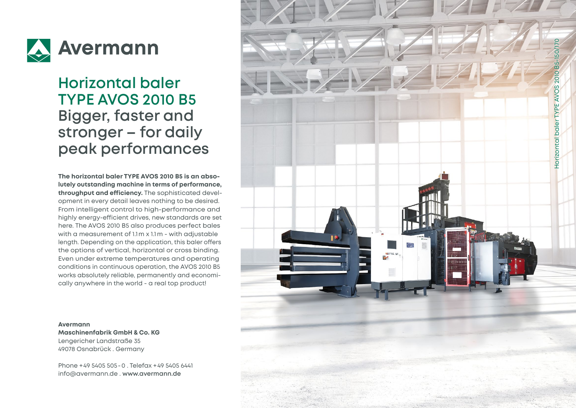

## **Horizontal baler TYPE AVOS 2010 B5 Bigger, faster and stronger – for daily peak performances**

**The horizontal baler TYPE AVOS 2010 B5 is an abso lutely outstanding machine in terms of performance, throughput and efficiency.** The sophisticated devel opment in every detail leaves nothing to be desired. From intelligent control to high-performance and highly energy-efficient drives, new standards are set here. The AVOS 2010 B5 also produces perfect bales with a measurement of 1.1m x 1.1m - with adjustable length. Depending on the application, this baler offers the options of vertical, horizontal or cross binding. Even under extreme temperatures and operating conditions in continuous operation, the AVOS 2010 B5 works absolutely reliable, permanently and economi cally anywhere in the world - a real top product!

#### **Avermann**

**Maschinenfabrik GmbH & Co. KG** Lengericher Landstraße 35 49078 Osnabrück . Germany

Phone +49 5405 505 -0 . Telefax +49 5405 6441 info@avermann.de . **www.avermann.de**